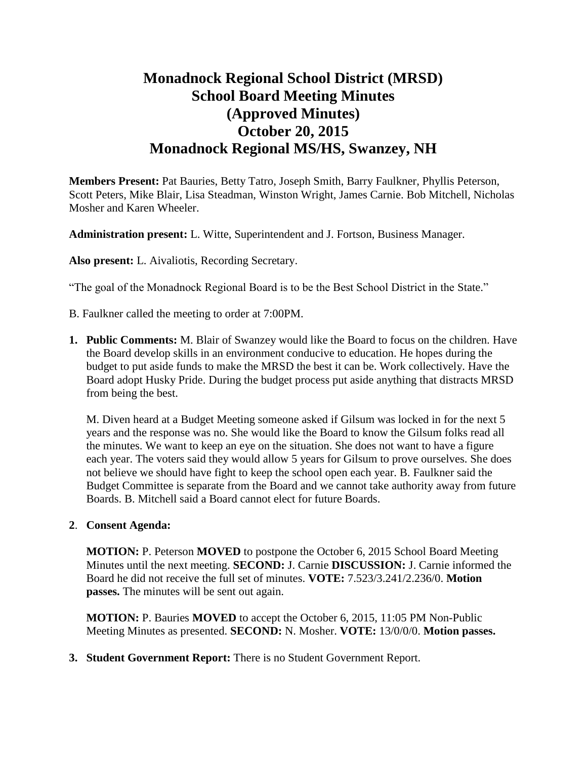# **Monadnock Regional School District (MRSD) School Board Meeting Minutes (Approved Minutes) October 20, 2015 Monadnock Regional MS/HS, Swanzey, NH**

**Members Present:** Pat Bauries, Betty Tatro, Joseph Smith, Barry Faulkner, Phyllis Peterson, Scott Peters, Mike Blair, Lisa Steadman, Winston Wright, James Carnie. Bob Mitchell, Nicholas Mosher and Karen Wheeler.

**Administration present:** L. Witte, Superintendent and J. Fortson, Business Manager.

**Also present:** L. Aivaliotis, Recording Secretary.

"The goal of the Monadnock Regional Board is to be the Best School District in the State."

- B. Faulkner called the meeting to order at 7:00PM.
- **1. Public Comments:** M. Blair of Swanzey would like the Board to focus on the children. Have the Board develop skills in an environment conducive to education. He hopes during the budget to put aside funds to make the MRSD the best it can be. Work collectively. Have the Board adopt Husky Pride. During the budget process put aside anything that distracts MRSD from being the best.

M. Diven heard at a Budget Meeting someone asked if Gilsum was locked in for the next 5 years and the response was no. She would like the Board to know the Gilsum folks read all the minutes. We want to keep an eye on the situation. She does not want to have a figure each year. The voters said they would allow 5 years for Gilsum to prove ourselves. She does not believe we should have fight to keep the school open each year. B. Faulkner said the Budget Committee is separate from the Board and we cannot take authority away from future Boards. B. Mitchell said a Board cannot elect for future Boards.

#### **2**. **Consent Agenda:**

**MOTION:** P. Peterson **MOVED** to postpone the October 6, 2015 School Board Meeting Minutes until the next meeting. **SECOND:** J. Carnie **DISCUSSION:** J. Carnie informed the Board he did not receive the full set of minutes. **VOTE:** 7.523/3.241/2.236/0. **Motion passes.** The minutes will be sent out again.

**MOTION:** P. Bauries **MOVED** to accept the October 6, 2015, 11:05 PM Non-Public Meeting Minutes as presented. **SECOND:** N. Mosher. **VOTE:** 13/0/0/0. **Motion passes.**

**3. Student Government Report:** There is no Student Government Report.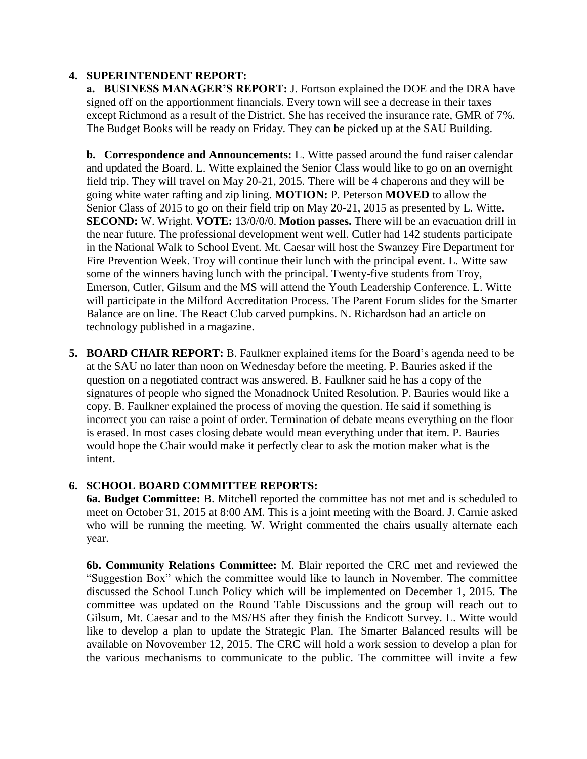#### **4. SUPERINTENDENT REPORT:**

 **a. BUSINESS MANAGER'S REPORT:** J. Fortson explained the DOE and the DRA have signed off on the apportionment financials. Every town will see a decrease in their taxes except Richmond as a result of the District. She has received the insurance rate, GMR of 7%. The Budget Books will be ready on Friday. They can be picked up at the SAU Building.

**b. Correspondence and Announcements:** L. Witte passed around the fund raiser calendar and updated the Board. L. Witte explained the Senior Class would like to go on an overnight field trip. They will travel on May 20-21, 2015. There will be 4 chaperons and they will be going white water rafting and zip lining. **MOTION:** P. Peterson **MOVED** to allow the Senior Class of 2015 to go on their field trip on May 20-21, 2015 as presented by L. Witte. **SECOND:** W. Wright. **VOTE:** 13/0/0/0. **Motion passes.** There will be an evacuation drill in the near future. The professional development went well. Cutler had 142 students participate in the National Walk to School Event. Mt. Caesar will host the Swanzey Fire Department for Fire Prevention Week. Troy will continue their lunch with the principal event. L. Witte saw some of the winners having lunch with the principal. Twenty-five students from Troy, Emerson, Cutler, Gilsum and the MS will attend the Youth Leadership Conference. L. Witte will participate in the Milford Accreditation Process. The Parent Forum slides for the Smarter Balance are on line. The React Club carved pumpkins. N. Richardson had an article on technology published in a magazine.

**5. BOARD CHAIR REPORT:** B. Faulkner explained items for the Board's agenda need to be at the SAU no later than noon on Wednesday before the meeting. P. Bauries asked if the question on a negotiated contract was answered. B. Faulkner said he has a copy of the signatures of people who signed the Monadnock United Resolution. P. Bauries would like a copy. B. Faulkner explained the process of moving the question. He said if something is incorrect you can raise a point of order. Termination of debate means everything on the floor is erased. In most cases closing debate would mean everything under that item. P. Bauries would hope the Chair would make it perfectly clear to ask the motion maker what is the intent.

## **6. SCHOOL BOARD COMMITTEE REPORTS:**

**6a. Budget Committee:** B. Mitchell reported the committee has not met and is scheduled to meet on October 31, 2015 at 8:00 AM. This is a joint meeting with the Board. J. Carnie asked who will be running the meeting. W. Wright commented the chairs usually alternate each year.

**6b. Community Relations Committee:** M. Blair reported the CRC met and reviewed the "Suggestion Box" which the committee would like to launch in November. The committee discussed the School Lunch Policy which will be implemented on December 1, 2015. The committee was updated on the Round Table Discussions and the group will reach out to Gilsum, Mt. Caesar and to the MS/HS after they finish the Endicott Survey. L. Witte would like to develop a plan to update the Strategic Plan. The Smarter Balanced results will be available on Novovember 12, 2015. The CRC will hold a work session to develop a plan for the various mechanisms to communicate to the public. The committee will invite a few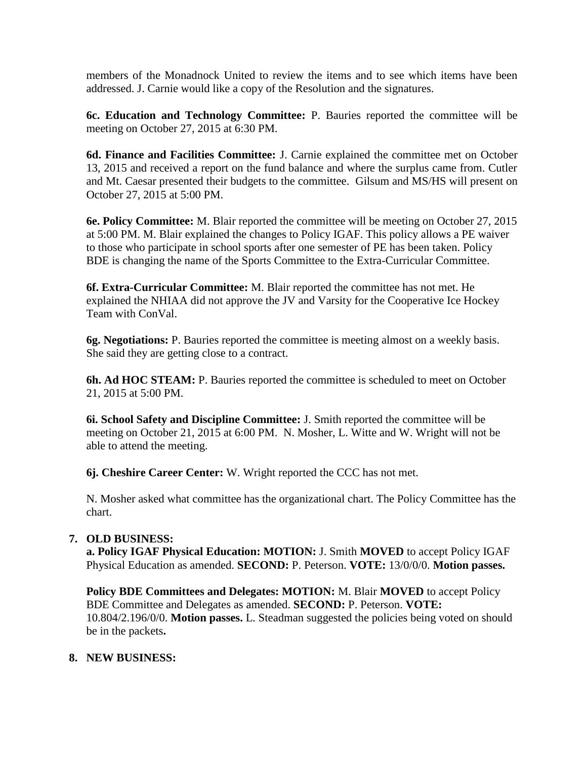members of the Monadnock United to review the items and to see which items have been addressed. J. Carnie would like a copy of the Resolution and the signatures.

 **6c. Education and Technology Committee:** P. Bauries reported the committee will be meeting on October 27, 2015 at 6:30 PM.

 **6d. Finance and Facilities Committee:** J. Carnie explained the committee met on October 13, 2015 and received a report on the fund balance and where the surplus came from. Cutler and Mt. Caesar presented their budgets to the committee. Gilsum and MS/HS will present on October 27, 2015 at 5:00 PM.

**6e. Policy Committee:** M. Blair reported the committee will be meeting on October 27, 2015 at 5:00 PM. M. Blair explained the changes to Policy IGAF. This policy allows a PE waiver to those who participate in school sports after one semester of PE has been taken. Policy BDE is changing the name of the Sports Committee to the Extra-Curricular Committee.

**6f. Extra-Curricular Committee:** M. Blair reported the committee has not met. He explained the NHIAA did not approve the JV and Varsity for the Cooperative Ice Hockey Team with ConVal.

**6g. Negotiations:** P. Bauries reported the committee is meeting almost on a weekly basis. She said they are getting close to a contract.

**6h. Ad HOC STEAM:** P. Bauries reported the committee is scheduled to meet on October 21, 2015 at 5:00 PM.

**6i. School Safety and Discipline Committee:** J. Smith reported the committee will be meeting on October 21, 2015 at 6:00 PM. N. Mosher, L. Witte and W. Wright will not be able to attend the meeting.

**6j. Cheshire Career Center:** W. Wright reported the CCC has not met.

N. Mosher asked what committee has the organizational chart. The Policy Committee has the chart.

## **7. OLD BUSINESS:**

**a. Policy IGAF Physical Education: MOTION:** J. Smith **MOVED** to accept Policy IGAF Physical Education as amended. **SECOND:** P. Peterson. **VOTE:** 13/0/0/0. **Motion passes.** 

**Policy BDE Committees and Delegates: MOTION:** M. Blair **MOVED** to accept Policy BDE Committee and Delegates as amended. **SECOND:** P. Peterson. **VOTE:**  10.804/2.196/0/0. **Motion passes.** L. Steadman suggested the policies being voted on should be in the packets**.**

## **8. NEW BUSINESS:**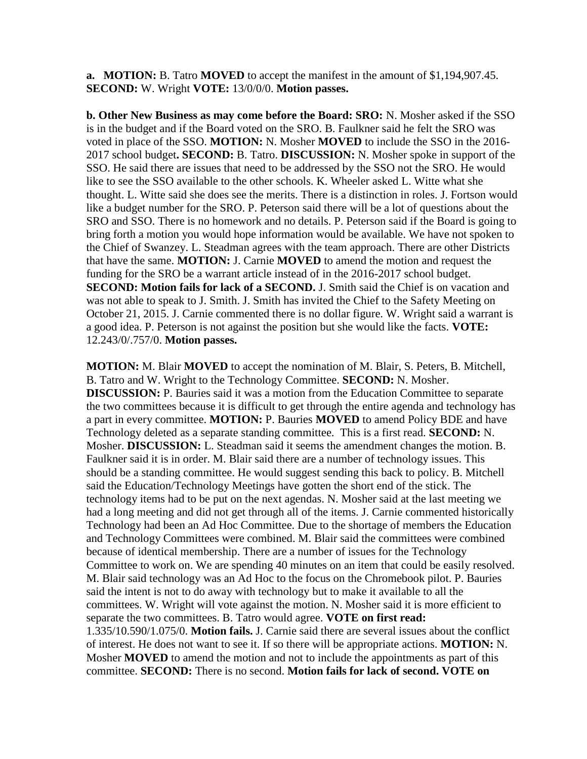**a. MOTION:** B. Tatro **MOVED** to accept the manifest in the amount of \$1,194,907.45. **SECOND:** W. Wright **VOTE:** 13/0/0/0. **Motion passes.**

**b. Other New Business as may come before the Board: SRO:** N. Mosher asked if the SSO is in the budget and if the Board voted on the SRO. B. Faulkner said he felt the SRO was voted in place of the SSO. **MOTION:** N. Mosher **MOVED** to include the SSO in the 2016- 2017 school budget**. SECOND:** B. Tatro. **DISCUSSION:** N. Mosher spoke in support of the SSO. He said there are issues that need to be addressed by the SSO not the SRO. He would like to see the SSO available to the other schools. K. Wheeler asked L. Witte what she thought. L. Witte said she does see the merits. There is a distinction in roles. J. Fortson would like a budget number for the SRO. P. Peterson said there will be a lot of questions about the SRO and SSO. There is no homework and no details. P. Peterson said if the Board is going to bring forth a motion you would hope information would be available. We have not spoken to the Chief of Swanzey. L. Steadman agrees with the team approach. There are other Districts that have the same. **MOTION:** J. Carnie **MOVED** to amend the motion and request the funding for the SRO be a warrant article instead of in the 2016-2017 school budget. **SECOND: Motion fails for lack of a SECOND.** J. Smith said the Chief is on vacation and was not able to speak to J. Smith. J. Smith has invited the Chief to the Safety Meeting on October 21, 2015. J. Carnie commented there is no dollar figure. W. Wright said a warrant is a good idea. P. Peterson is not against the position but she would like the facts. **VOTE:**  12.243/0/.757/0. **Motion passes.** 

**MOTION:** M. Blair **MOVED** to accept the nomination of M. Blair, S. Peters, B. Mitchell, B. Tatro and W. Wright to the Technology Committee. **SECOND:** N. Mosher. **DISCUSSION:** P. Bauries said it was a motion from the Education Committee to separate the two committees because it is difficult to get through the entire agenda and technology has a part in every committee. **MOTION:** P. Bauries **MOVED** to amend Policy BDE and have Technology deleted as a separate standing committee. This is a first read. **SECOND:** N. Mosher. **DISCUSSION:** L. Steadman said it seems the amendment changes the motion. B. Faulkner said it is in order. M. Blair said there are a number of technology issues. This should be a standing committee. He would suggest sending this back to policy. B. Mitchell said the Education/Technology Meetings have gotten the short end of the stick. The technology items had to be put on the next agendas. N. Mosher said at the last meeting we had a long meeting and did not get through all of the items. J. Carnie commented historically Technology had been an Ad Hoc Committee. Due to the shortage of members the Education and Technology Committees were combined. M. Blair said the committees were combined because of identical membership. There are a number of issues for the Technology Committee to work on. We are spending 40 minutes on an item that could be easily resolved. M. Blair said technology was an Ad Hoc to the focus on the Chromebook pilot. P. Bauries said the intent is not to do away with technology but to make it available to all the committees. W. Wright will vote against the motion. N. Mosher said it is more efficient to separate the two committees. B. Tatro would agree. **VOTE on first read:**  1.335/10.590/1.075/0. **Motion fails.** J. Carnie said there are several issues about the conflict of interest. He does not want to see it. If so there will be appropriate actions. **MOTION:** N. Mosher **MOVED** to amend the motion and not to include the appointments as part of this committee. **SECOND:** There is no second. **Motion fails for lack of second. VOTE on**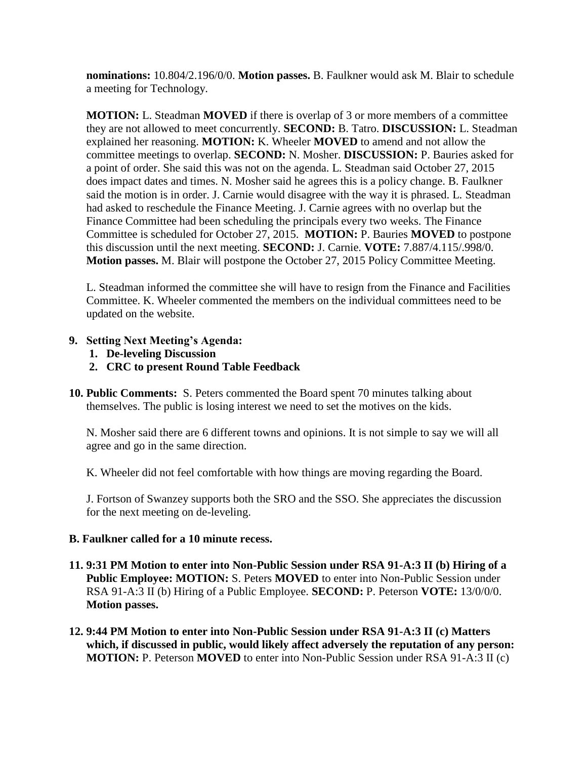**nominations:** 10.804/2.196/0/0. **Motion passes.** B. Faulkner would ask M. Blair to schedule a meeting for Technology.

**MOTION:** L. Steadman **MOVED** if there is overlap of 3 or more members of a committee they are not allowed to meet concurrently. **SECOND:** B. Tatro. **DISCUSSION:** L. Steadman explained her reasoning. **MOTION:** K. Wheeler **MOVED** to amend and not allow the committee meetings to overlap. **SECOND:** N. Mosher. **DISCUSSION:** P. Bauries asked for a point of order. She said this was not on the agenda. L. Steadman said October 27, 2015 does impact dates and times. N. Mosher said he agrees this is a policy change. B. Faulkner said the motion is in order. J. Carnie would disagree with the way it is phrased. L. Steadman had asked to reschedule the Finance Meeting. J. Carnie agrees with no overlap but the Finance Committee had been scheduling the principals every two weeks. The Finance Committee is scheduled for October 27, 2015. **MOTION:** P. Bauries **MOVED** to postpone this discussion until the next meeting. **SECOND:** J. Carnie. **VOTE:** 7.887/4.115/.998/0. **Motion passes.** M. Blair will postpone the October 27, 2015 Policy Committee Meeting.

L. Steadman informed the committee she will have to resign from the Finance and Facilities Committee. K. Wheeler commented the members on the individual committees need to be updated on the website.

### **9. Setting Next Meeting's Agenda:**

- **1. De-leveling Discussion**
- **2. CRC to present Round Table Feedback**
- **10. Public Comments:** S. Peters commented the Board spent 70 minutes talking about themselves. The public is losing interest we need to set the motives on the kids.

N. Mosher said there are 6 different towns and opinions. It is not simple to say we will all agree and go in the same direction.

K. Wheeler did not feel comfortable with how things are moving regarding the Board.

J. Fortson of Swanzey supports both the SRO and the SSO. She appreciates the discussion for the next meeting on de-leveling.

#### **B. Faulkner called for a 10 minute recess.**

- **11. 9:31 PM Motion to enter into Non-Public Session under RSA 91-A:3 II (b) Hiring of a Public Employee: MOTION:** S. Peters **MOVED** to enter into Non-Public Session under RSA 91-A:3 II (b) Hiring of a Public Employee. **SECOND:** P. Peterson **VOTE:** 13/0/0/0. **Motion passes.**
- **12. 9:44 PM Motion to enter into Non-Public Session under RSA 91-A:3 II (c) Matters which, if discussed in public, would likely affect adversely the reputation of any person: MOTION:** P. Peterson **MOVED** to enter into Non-Public Session under RSA 91-A:3 II (c)